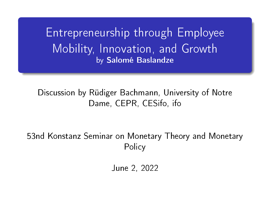Entrepreneurship through Employee Mobility, Innovation, and Growth by Salomé Baslandze

#### Discussion by Rüdiger Bachmann, University of Notre Dame, CEPR, CESifo, ifo

53nd Konstanz Seminar on Monetary Theory and Monetary **Policy** 

June 2, 2022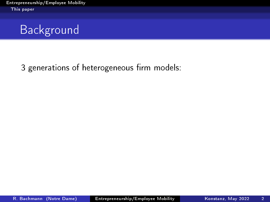<span id="page-1-0"></span>

3 generations of heterogeneous firm models: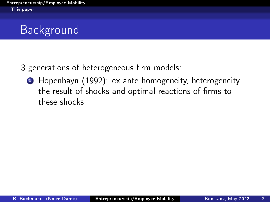# Background

3 generations of heterogeneous firm models:

<sup>1</sup> Hopenhayn (1992): ex ante homogeneity, heterogeneity the result of shocks and optimal reactions of firms to these shocks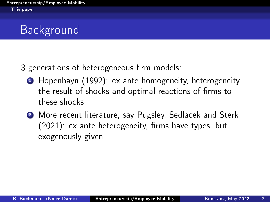# Background

3 generations of heterogeneous firm models:

- **1** Hopenhayn (1992): ex ante homogeneity, heterogeneity the result of shocks and optimal reactions of firms to these shocks
- <sup>2</sup> More recent literature, say Pugsley, Sedlacek and Sterk  $(2021)$ : ex ante heterogeneity, firms have types, but exogenously given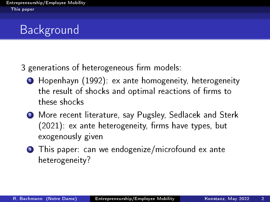# Background

3 generations of heterogeneous firm models:

- **1** Hopenhayn (1992): ex ante homogeneity, heterogeneity the result of shocks and optimal reactions of firms to these shocks
- <sup>2</sup> More recent literature, say Pugsley, Sedlacek and Sterk  $(2021)$ : ex ante heterogeneity, firms have types, but exogenously given
- **3** This paper: can we endogenize/microfound ex ante heterogeneity?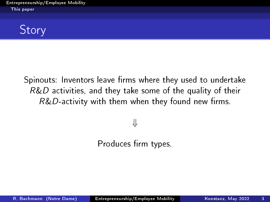**Story** 

Spinouts: Inventors leave firms where they used to undertake  $R&D$  activities, and they take some of the quality of their  $R&D$ -activity with them when they found new firms.

⇓

Produces firm types.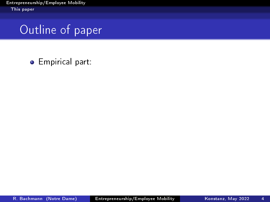### Outline of paper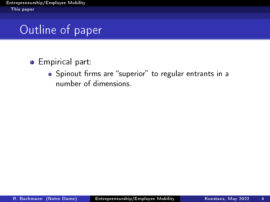## Outline of paper

#### **•** Empirical part:

• Spinout firms are "superior" to regular entrants in a number of dimensions.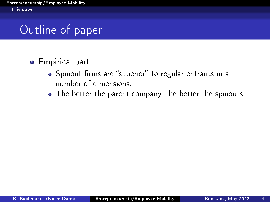# Outline of paper

- Spinout firms are "superior" to regular entrants in a number of dimensions.
- The better the parent company, the better the spinouts.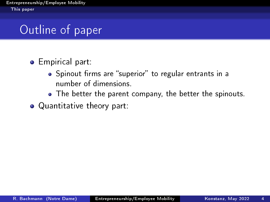# Outline of paper

- Spinout firms are "superior" to regular entrants in a number of dimensions.
- The better the parent company, the better the spinouts.
- Quantitative theory part: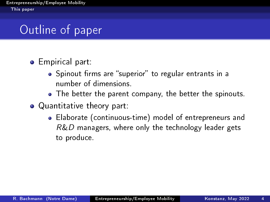# Outline of paper

- Spinout firms are "superior" to regular entrants in a number of dimensions.
- The better the parent company, the better the spinouts.
- Quantitative theory part:
	- Elaborate (continuous-time) model of entrepreneurs and  $R&D$  managers, where only the technology leader gets to produce.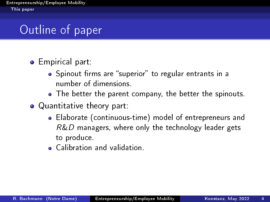# Outline of paper

- Spinout firms are "superior" to regular entrants in a number of dimensions.
- The better the parent company, the better the spinouts.
- Quantitative theory part:
	- Elaborate (continuous-time) model of entrepreneurs and  $R&D$  managers, where only the technology leader gets to produce.
	- Calibration and validation.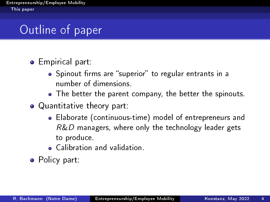# Outline of paper

- Spinout firms are "superior" to regular entrants in a number of dimensions.
- The better the parent company, the better the spinouts.
- Quantitative theory part:
	- Elaborate (continuous-time) model of entrepreneurs and  $R&D$  managers, where only the technology leader gets to produce.
	- Calibration and validation.
- Policy part: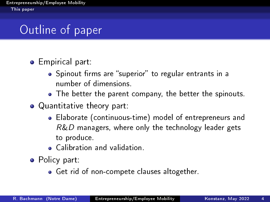# Outline of paper

- Spinout firms are "superior" to regular entrants in a number of dimensions.
- The better the parent company, the better the spinouts.
- Quantitative theory part:
	- Elaborate (continuous-time) model of entrepreneurs and  $R&D$  managers, where only the technology leader gets to produce.
	- Calibration and validation.
- Policy part:
	- Get rid of non-compete clauses altogether.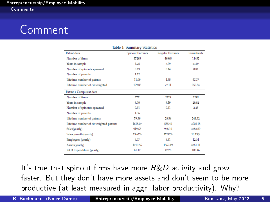### <span id="page-14-0"></span>Comment I

| Table 1: Summary Statistics             |                         |                         |            |
|-----------------------------------------|-------------------------|-------------------------|------------|
| Patent data                             | <b>Spinout Entrants</b> | <b>Regular Entrants</b> | Incumbents |
| Number of firms                         | 17295                   | 46888                   | 11452      |
| Years in sample                         | 4.28                    | 3.69                    | 23.07      |
| Number of spinouts spawned              | 0.29                    | 0.14                    | 0.82       |
| Number of parents                       | 1.22                    | à.                      | à.         |
| Lifetime number of patents              | 11.09                   | 4.55                    | 67.77      |
| Lifetime number of cit-weighted         | 199.85                  | 77.11                   | 950.64     |
| Patent + Compustat data                 |                         |                         |            |
| Number of firms                         | 777                     | 2229                    | 2249       |
| Years in sample                         | 9.70                    | 9.19                    | 29.82      |
| Number of spinouts spawned              | 0.91                    | 0.41                    | 2.25       |
| Number of parents                       | 1.36                    | à.                      | à.         |
| Lifetime number of patents              | 79.39                   | 28.58                   | 244.32     |
| Lifetime number of cit-weighted patents | 1618.07                 | 585.40                  | 3605.18    |
| Sales(yearly)                           | 919.65                  | 938.10                  | 3283.89    |
| Sales growth (yearly)                   | 23.62%                  | 17.95%                  | 10.13%     |
| Employees (yearly)                      | 3.77                    | 3.61                    | 12.34      |
| Assets(yearly)                          | 1219.56                 | 1569.49                 | 4361.11    |
| R&D Expenditure (yearly)                | 61.12                   | 47.76                   | 108.46     |

It's true that spinout firms have more  $R&D$  activity and grow faster. But they don't have more assets and don't seem to be more productive (at least measured in aggr. labor productivity). Why?

R. Bachmann (Notre Dame) [Entrepreneurship/Employee Mobility](#page-1-0) Konstanz, May 2022 5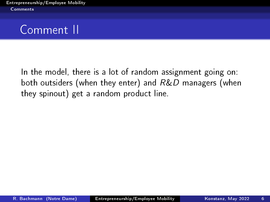### Comment II

In the model, there is a lot of random assignment going on: both outsiders (when they enter) and  $R\&D$  managers (when they spinout) get a random product line.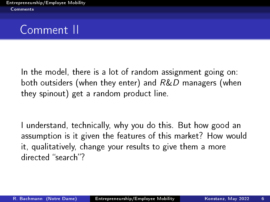In the model, there is a lot of random assignment going on: both outsiders (when they enter) and R&D managers (when they spinout) get a random product line.

I understand, technically, why you do this. But how good an assumption is it given the features of this market? How would it, qualitatively, change your results to give them a more directed "search"?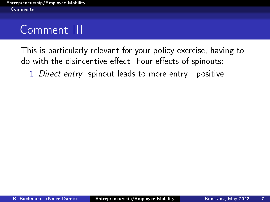This is particularly relevant for your policy exercise, having to do with the disincentive effect. Four effects of spinouts:

1 Direct entry: spinout leads to more entry-positive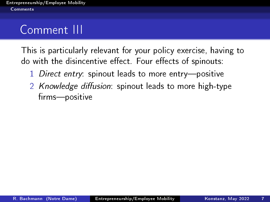- 1 Direct entry: spinout leads to more entry-positive
- 2 Knowledge diffusion: spinout leads to more high-type firms-positive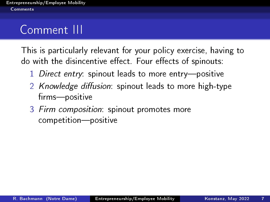- 1 Direct entry: spinout leads to more entry-positive
- 2 Knowledge diffusion: spinout leads to more high-type firms-positive
- 3 Firm composition: spinout promotes more competition-positive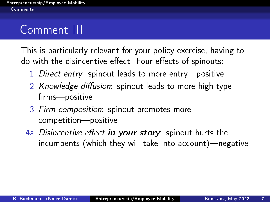- 1 Direct entry: spinout leads to more entry-positive
- 2 Knowledge diffusion: spinout leads to more high-type firms-positive
- 3 Firm composition: spinout promotes more competition-positive
- 4a Disincentive effect in your story: spinout hurts the  $incumbents$  (which they will take into account)—negative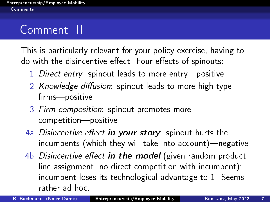- 1 Direct entry: spinout leads to more entry-positive
- 2 Knowledge diffusion: spinout leads to more high-type firms-positive
- 3 Firm composition: spinout promotes more competition-positive
- 4a Disincentive effect in your story: spinout hurts the incumbents (which they will take into account)-negative
- $4b$  Disincentive effect in the model (given random product line assignment, no direct competition with incumbent): incumbent loses its technological advantage to 1. Seems rather ad hoc.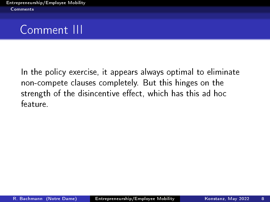### Comment III

In the policy exercise, it appears always optimal to eliminate non-compete clauses completely. But this hinges on the strength of the disincentive effect, which has this ad hoc feature.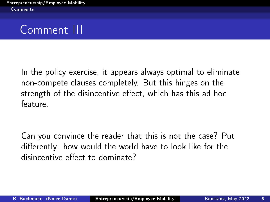In the policy exercise, it appears always optimal to eliminate non-compete clauses completely. But this hinges on the strength of the disincentive effect, which has this ad hoc feature.

Can you convince the reader that this is not the case? Put differently: how would the world have to look like for the disincentive effect to dominate?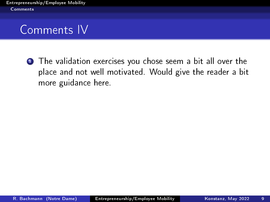### Comments IV

**1** The validation exercises you chose seem a bit all over the place and not well motivated. Would give the reader a bit more guidance here.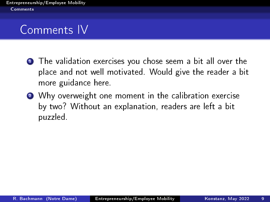### Comments IV

- **1** The validation exercises you chose seem a bit all over the place and not well motivated. Would give the reader a bit more guidance here.
- 2 Why overweight one moment in the calibration exercise by two? Without an explanation, readers are left a bit puzzled.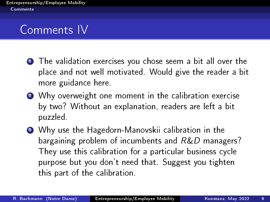# Comments IV

- **1** The validation exercises you chose seem a bit all over the place and not well motivated. Would give the reader a bit more guidance here.
- 2 Why overweight one moment in the calibration exercise by two? Without an explanation, readers are left a bit puzzled.
- <sup>3</sup> Why use the Hagedorn-Manovskii calibration in the bargaining problem of incumbents and R&D managers? They use this calibration for a particular business cycle purpose but you don't need that. Suggest you tighten this part of the calibration.